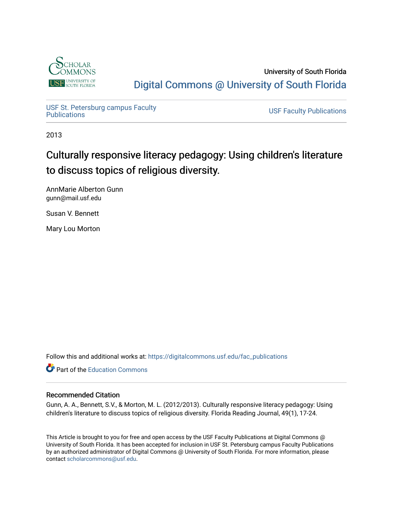

University of South Florida [Digital Commons @ University of South Florida](https://digitalcommons.usf.edu/) 

USF St. Petersburg campus Faculty<br>Publications

**USF Faculty Publications** 

2013

# Culturally responsive literacy pedagogy: Using children's literature to discuss topics of religious diversity.

AnnMarie Alberton Gunn gunn@mail.usf.edu

Susan V. Bennett

Mary Lou Morton

Follow this and additional works at: [https://digitalcommons.usf.edu/fac\\_publications](https://digitalcommons.usf.edu/fac_publications?utm_source=digitalcommons.usf.edu%2Ffac_publications%2F53&utm_medium=PDF&utm_campaign=PDFCoverPages)

**C** Part of the [Education Commons](http://network.bepress.com/hgg/discipline/784?utm_source=digitalcommons.usf.edu%2Ffac_publications%2F53&utm_medium=PDF&utm_campaign=PDFCoverPages)

## Recommended Citation

Gunn, A. A., Bennett, S.V., & Morton, M. L. (2012/2013). Culturally responsive literacy pedagogy: Using children's literature to discuss topics of religious diversity. Florida Reading Journal, 49(1), 17-24.

This Article is brought to you for free and open access by the USF Faculty Publications at Digital Commons @ University of South Florida. It has been accepted for inclusion in USF St. Petersburg campus Faculty Publications by an authorized administrator of Digital Commons @ University of South Florida. For more information, please contact [scholarcommons@usf.edu](mailto:scholarcommons@usf.edu).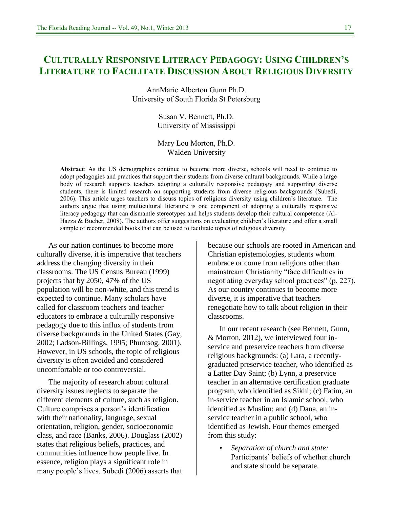# **CULTURALLY RESPONSIVE LITERACY PEDAGOGY: USING CHILDREN'S LITERATURE TO FACILITATE DISCUSSION ABOUT RELIGIOUS DIVERSITY**

AnnMarie Alberton Gunn Ph.D. University of South Florida St Petersburg

> Susan V. Bennett, Ph.D. University of Mississippi

### Mary Lou Morton, Ph.D. Walden University

**Abstract**: As the US demographics continue to become more diverse, schools will need to continue to adopt pedagogies and practices that support their students from diverse cultural backgrounds. While a large body of research supports teachers adopting a culturally responsive pedagogy and supporting diverse students, there is limited research on supporting students from diverse religious backgrounds (Subedi, 2006). This article urges teachers to discuss topics of religious diversity using children's literature. The authors argue that using multicultural literature is one component of adopting a culturally responsive literacy pedagogy that can dismantle stereotypes and helps students develop their cultural competence (Al-Hazza & Bucher, 2008). The authors offer suggestions on evaluating children's literature and offer a small sample of recommended books that can be used to facilitate topics of religious diversity.

As our nation continues to become more culturally diverse, it is imperative that teachers address the changing diversity in their classrooms. The US Census Bureau (1999) projects that by 2050, 47% of the US population will be non-white, and this trend is expected to continue. Many scholars have called for classroom teachers and teacher educators to embrace a culturally responsive pedagogy due to this influx of students from diverse backgrounds in the United States (Gay, 2002; Ladson-Billings, 1995; Phuntsog, 2001). However, in US schools, the topic of religious diversity is often avoided and considered uncomfortable or too controversial.

The majority of research about cultural diversity issues neglects to separate the different elements of culture, such as religion. Culture comprises a person's identification with their nationality, language, sexual orientation, religion, gender, socioeconomic class, and race (Banks, 2006). Douglass (2002) states that religious beliefs, practices, and communities influence how people live. In essence, religion plays a significant role in many people's lives. Subedi (2006) asserts that

because our schools are rooted in American and Christian epistemologies, students whom embrace or come from religions other than mainstream Christianity "face difficulties in negotiating everyday school practices" (p. 227). As our country continues to become more diverse, it is imperative that teachers renegotiate how to talk about religion in their classrooms.

In our recent research (see Bennett, Gunn, & Morton, 2012), we interviewed four inservice and preservice teachers from diverse religious backgrounds: (a) Lara, a recentlygraduated preservice teacher, who identified as a Latter Day Saint; (b) Lynn, a preservice teacher in an alternative certification graduate program, who identified as Sikhi; (c) Fatim, an in-service teacher in an Islamic school, who identified as Muslim; and (d) Dana, an inservice teacher in a public school, who identified as Jewish. Four themes emerged from this study:

• *Separation of church and state:* Participants' beliefs of whether church and state should be separate.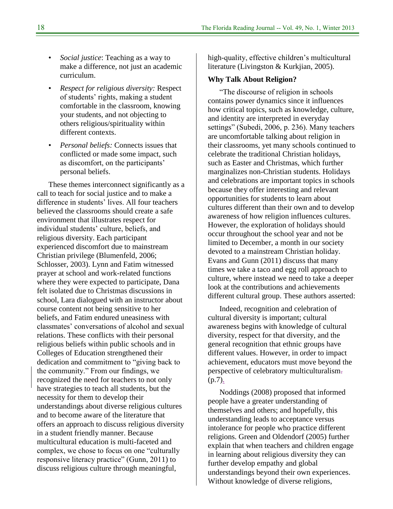- *Social justice*: Teaching as a way to make a difference, not just an academic curriculum.
- *Respect for religious diversity:* Respect of students' rights, making a student comfortable in the classroom, knowing your students, and not objecting to others religious/spirituality within different contexts.
- *Personal beliefs:* Connects issues that conflicted or made some impact, such as discomfort, on the participants' personal beliefs.

These themes interconnect significantly as a call to teach for social justice and to make a difference in students' lives. All four teachers believed the classrooms should create a safe environment that illustrates respect for individual students' culture, beliefs, and religious diversity. Each participant experienced discomfort due to mainstream Christian privilege (Blumenfeld, 2006; Schlosser, 2003). Lynn and Fatim witnessed prayer at school and work-related functions where they were expected to participate, Dana felt isolated due to Christmas discussions in school, Lara dialogued with an instructor about course content not being sensitive to her beliefs, and Fatim endured uneasiness with classmates' conversations of alcohol and sexual relations. These conflicts with their personal religious beliefs within public schools and in Colleges of Education strengthened their dedication and commitment to "giving back to the community." From our findings, we recognized the need for teachers to not only have strategies to teach all students, but the necessity for them to develop their understandings about diverse religious cultures and to become aware of the literature that offers an approach to discuss religious diversity in a student friendly manner. Because multicultural education is multi-faceted and complex, we chose to focus on one "culturally" responsive literacy practice" (Gunn, 2011) to discuss religious culture through meaningful,

high-quality, effective children's multicultural literature (Livingston & Kurkjian, 2005).

#### **Why Talk About Religion?**

―The discourse of religion in schools contains power dynamics since it influences how critical topics, such as knowledge, culture, and identity are interpreted in everyday settings" (Subedi, 2006, p. 236). Many teachers are uncomfortable talking about religion in their classrooms, yet many schools continued to celebrate the traditional Christian holidays, such as Easter and Christmas, which further marginalizes non-Christian students. Holidays and celebrations are important topics in schools because they offer interesting and relevant opportunities for students to learn about cultures different than their own and to develop awareness of how religion influences cultures. However, the exploration of holidays should occur throughout the school year and not be limited to December, a month in our society devoted to a mainstream Christian holiday. Evans and Gunn (2011) discuss that many times we take a taco and egg roll approach to culture, where instead we need to take a deeper look at the contributions and achievements different cultural group. These authors asserted:

Indeed, recognition and celebration of cultural diversity is important; cultural awareness begins with knowledge of cultural diversity, respect for that diversity, and the general recognition that ethnic groups have different values. However, in order to impact achievement, educators must move beyond the perspective of celebratory multiculturalism.  $(p.7)$ .

Noddings (2008) proposed that informed people have a greater understanding of themselves and others; and hopefully, this understanding leads to acceptance versus intolerance for people who practice different religions. Green and Oldendorf (2005) further explain that when teachers and children engage in learning about religious diversity they can further develop empathy and global understandings beyond their own experiences. Without knowledge of diverse religions,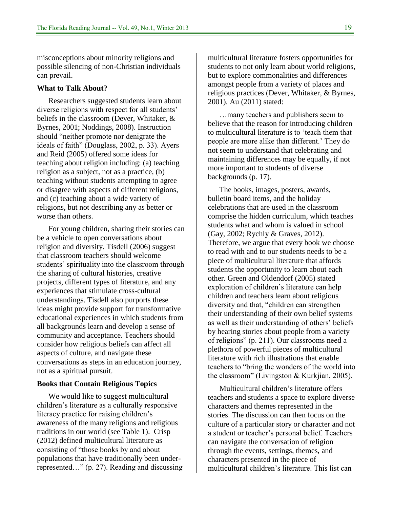misconceptions about minority religions and possible silencing of non-Christian individuals can prevail.

#### **What to Talk About?**

Researchers suggested students learn about diverse religions with respect for all students' beliefs in the classroom (Dever, Whitaker, & Byrnes, 2001; Noddings, 2008). Instruction should "neither promote nor denigrate the ideals of faith" (Douglass, 2002, p. 33). Ayers and Reid (2005) offered some ideas for teaching about religion including: (a) teaching religion as a subject, not as a practice, (b) teaching without students attempting to agree or disagree with aspects of different religions, and (c) teaching about a wide variety of religions, but not describing any as better or worse than others.

For young children, sharing their stories can be a vehicle to open conversations about religion and diversity. Tisdell (2006) suggest that classroom teachers should welcome students' spirituality into the classroom through the sharing of cultural histories, creative projects, different types of literature, and any experiences that stimulate cross-cultural understandings. Tisdell also purports these ideas might provide support for transformative educational experiences in which students from all backgrounds learn and develop a sense of community and acceptance. Teachers should consider how religious beliefs can affect all aspects of culture, and navigate these conversations as steps in an education journey, not as a spiritual pursuit.

#### **Books that Contain Religious Topics**

We would like to suggest multicultural children's literature as a culturally responsive literacy practice for raising children's awareness of the many religions and religious traditions in our world (see Table 1). Crisp (2012) defined multicultural literature as consisting of "those books by and about" populations that have traditionally been underrepresented..." (p. 27). Reading and discussing multicultural literature fosters opportunities for students to not only learn about world religions, but to explore commonalities and differences amongst people from a variety of places and religious practices (Dever, Whitaker, & Byrnes, 2001). Au (2011) stated:

…many teachers and publishers seem to believe that the reason for introducing children to multicultural literature is to 'teach them that people are more alike than different.' They do not seem to understand that celebrating and maintaining differences may be equally, if not more important to students of diverse backgrounds (p. 17).

The books, images, posters, awards, bulletin board items, and the holiday celebrations that are used in the classroom comprise the hidden curriculum, which teaches students what and whom is valued in school (Gay, 2002; Rychly & Graves, 2012). Therefore, we argue that every book we choose to read with and to our students needs to be a piece of multicultural literature that affords students the opportunity to learn about each other. Green and Oldendorf (2005) stated exploration of children's literature can help children and teachers learn about religious diversity and that, "children can strengthen their understanding of their own belief systems as well as their understanding of others' beliefs by hearing stories about people from a variety of religions" (p. 211). Our classrooms need a plethora of powerful pieces of multicultural literature with rich illustrations that enable teachers to "bring the wonders of the world into the classroom" (Livingston & Kurkjian, 2005).

Multicultural children's literature offers teachers and students a space to explore diverse characters and themes represented in the stories. The discussion can then focus on the culture of a particular story or character and not a student or teacher's personal belief. Teachers can navigate the conversation of religion through the events, settings, themes, and characters presented in the piece of multicultural children's literature. This list can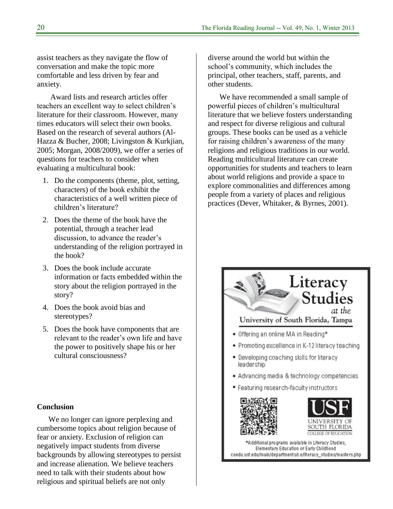assist teachers as they navigate the flow of conversation and make the topic more comfortable and less driven by fear and anxiety.

Award lists and research articles offer teachers an excellent way to select children's literature for their classroom. However, many times educators will select their own books. Based on the research of several authors (Al-Hazza & Bucher, 2008; Livingston & Kurkjian, 2005; Morgan, 2008/2009), we offer a series of questions for teachers to consider when evaluating a multicultural book:

- 1. Do the components (theme, plot, setting, characters) of the book exhibit the characteristics of a well written piece of children's literature?
- 2. Does the theme of the book have the potential, through a teacher lead discussion, to advance the reader's understanding of the religion portrayed in the book?
- 3. Does the book include accurate information or facts embedded within the story about the religion portrayed in the story?
- 4. Does the book avoid bias and stereotypes?
- 5. Does the book have components that are relevant to the reader's own life and have the power to positively shape his or her cultural consciousness?

### **Conclusion**

We no longer can ignore perplexing and cumbersome topics about religion because of fear or anxiety. Exclusion of religion can negatively impact students from diverse backgrounds by allowing stereotypes to persist and increase alienation. We believe teachers need to talk with their students about how religious and spiritual beliefs are not only

diverse around the world but within the school's community, which includes the principal, other teachers, staff, parents, and other students.

We have recommended a small sample of powerful pieces of children's multicultural literature that we believe fosters understanding and respect for diverse religious and cultural groups. These books can be used as a vehicle for raising children's awareness of the many religions and religious traditions in our world. Reading multicultural literature can create opportunities for students and teachers to learn about world religions and provide a space to explore commonalities and differences among people from a variety of places and religious practices (Dever, Whitaker, & Byrnes, 2001).



'Additional programs available in Literacy Studies, Elementary Education or Early Childhood coedu.usf.edu/main/departments/ce/literacy\_studies/masters.php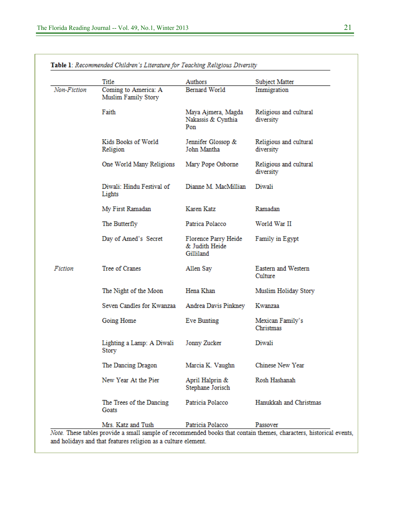|             | Title                                       | Authors                                             | Subject Matter                      |
|-------------|---------------------------------------------|-----------------------------------------------------|-------------------------------------|
| Non-Fiction | Coming to America: A<br>Muslim Family Story | Bernard World                                       | Immigration                         |
|             | Faith                                       | Maya Ajmera, Magda<br>Nakassis & Cynthia<br>Pon     | Religious and cultural<br>diversity |
|             | Kids Books of World<br>Religion             | Jennifer Glossop &<br>John Mantha                   | Religious and cultural<br>diversity |
|             | One World Many Religions                    | Mary Pope Osborne                                   | Religious and cultural<br>diversity |
|             | Diwali: Hindu Festival of<br>Lights         | Dianne M. MacMillian                                | Diwali                              |
|             | My First Ramadan                            | Karen Katz                                          | Ramadan                             |
|             | The Butterfly                               | Patrica Polacco                                     | World War II                        |
|             | Day of Amed's Secret                        | Florence Parry Heide<br>& Judith Heide<br>Gilliland | Family in Egypt                     |
| Fiction     | Tree of Cranes                              | Allen Say                                           | Eastern and Western<br>Culture      |
|             | The Night of the Moon                       | Hena Khan                                           | Muslim Holiday Story                |
|             | Seven Candles for Kwanzaa                   | Andrea Davis Pinkney                                | Kwanzaa                             |
|             | Going Home                                  | Eve Bunting                                         | Mexican Family's<br>Christmas       |
|             | Lighting a Lamp: A Diwali<br>Story          | Jonny Zucker                                        | Diwali                              |
|             | The Dancing Dragon                          | Marcia K. Vaughn                                    | Chinese New Year                    |
|             | New Year At the Pier                        | April Halprin &<br>Stephane Jorisch                 | Rosh Hashanah                       |
|             | The Trees of the Dancing<br>Goats           | Patricia Polacco                                    | Hanukkah and Christmas              |
|             | Mrs. Katz and Tush                          | Patricia Polacco                                    | Passover                            |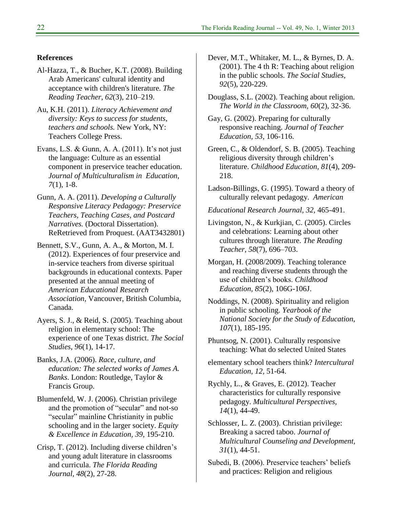#### **References**

- Al-Hazza, T., & Bucher, K.T. (2008). Building Arab Americans' cultural identity and acceptance with children's literature. *The Reading Teacher, 62*(3), 210–219.
- Au, K.H. (2011). *Literacy Achievement and diversity: Keys to success for students, teachers and schools.* New York, NY: Teachers College Press.
- Evans, L.S. & Gunn, A. A. (2011). It's not just the language: Culture as an essential component in preservice teacher education. *Journal of Multiculturalism in Education, 7*(1), 1-8.
- Gunn, A. A. (2011). *Developing a Culturally Responsive Literacy Pedagogy: Preservice Teachers, Teaching Cases, and Postcard Narratives.* (Doctoral Dissertation). ReRetrieved from Proquest. (AAT3432801)
- Bennett, S.V., Gunn, A. A., & Morton, M. I. (2012). Experiences of four preservice and in-service teachers from diverse spiritual backgrounds in educational contexts. Paper presented at the annual meeting of *American Educational Research Association*, Vancouver, British Columbia, Canada.
- Ayers, S. J., & Reid, S. (2005). Teaching about religion in elementary school: The experience of one Texas district. *The Social Studies, 96*(1), 14-17.
- Banks, J.A. (2006). *Race, culture, and education: The selected works of James A. Banks*. London: Routledge, Taylor & Francis Group.
- Blumenfeld, W. J. (2006). Christian privilege and the promotion of "secular" and not-so "secular" mainline Christianity in public schooling and in the larger society. *Equity & Excellence in Education, 39,* 195-210.
- Crisp, T. (2012). Including diverse children's and young adult literature in classrooms and curricula. *The Florida Reading Journal, 48*(2), 27-28.
- Dever, M.T., Whitaker, M. L., & Byrnes, D. A. (2001). The 4 th R: Teaching about religion in the public schools. *The Social Studies, 92*(5), 220-229.
- Douglass, S.L. (2002). Teaching about religion. *The World in the Classroom, 60*(2), 32-36.
- Gay, G. (2002). Preparing for culturally responsive reaching. *Journal of Teacher Education, 53*, 106-116.
- Green, C., & Oldendorf, S. B. (2005). Teaching religious diversity through children's literature. *Childhood Education, 81*(4), 209- 218.
- Ladson-Billings, G. (1995). Toward a theory of culturally relevant pedagogy. *American*
- *Educational Research Journal, 32,* 465-491.
- Livingston, N., & Kurkjian, C. (2005). Circles and celebrations: Learning about other cultures through literature. *The Reading Teacher, 58*(7), 696–703.
- Morgan, H. (2008/2009). Teaching tolerance and reaching diverse students through the use of children's books. *Childhood Education, 85*(2), 106G-106J.
- Noddings, N. (2008). Spirituality and religion in public schooling. *Yearbook of the National Society for the Study of Education, 107*(1), 185-195.
- Phuntsog, N. (2001). Culturally responsive teaching: What do selected United States
- elementary school teachers think? *Intercultural Education, 12,* 51-64.
- Rychly, L., & Graves, E. (2012). Teacher characteristics for culturally responsive pedagogy. *Multicultural Perspectives, 14*(1), 44-49.
- Schlosser, L. Z. (2003). Christian privilege: Breaking a sacred taboo. *Journal of Multicultural Counseling and Development, 31*(1), 44-51.
- Subedi, B. (2006). Preservice teachers' beliefs and practices: Religion and religious